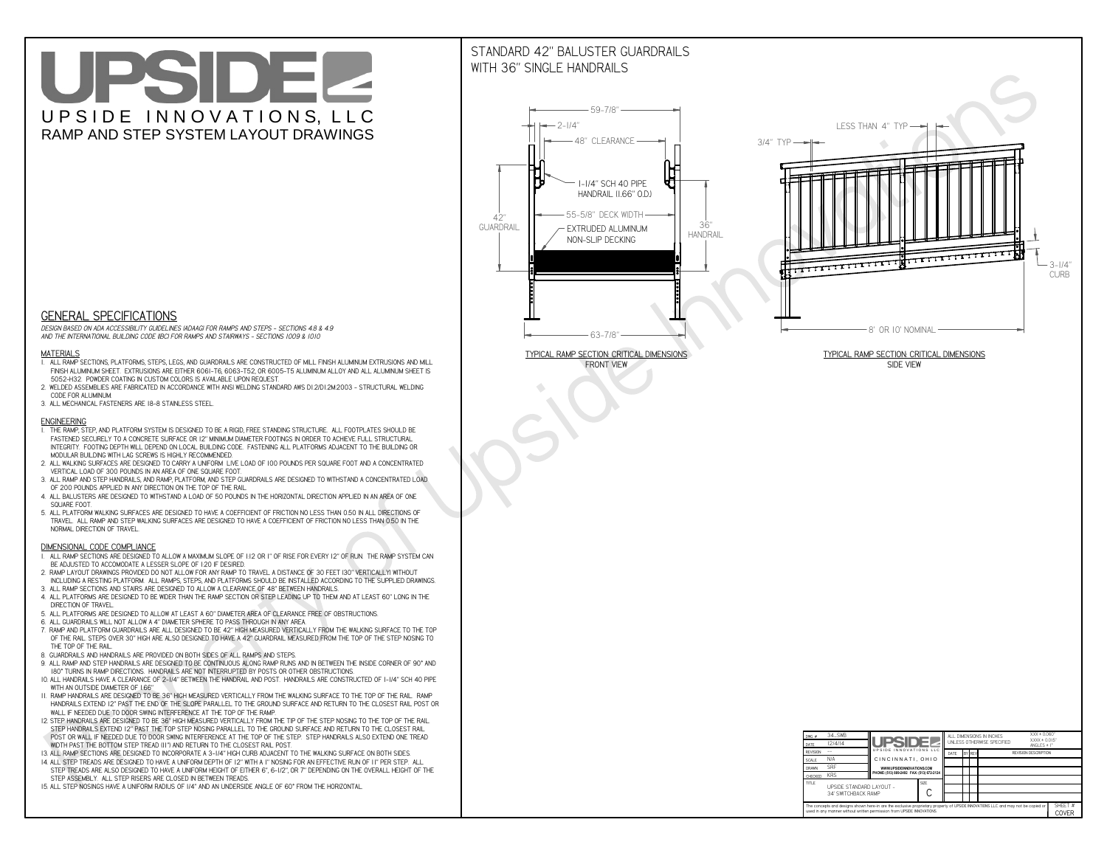# UPSIDEL UPSIDE INNOVATIONS, LLC RAMP AND STEP SYSTEM LAYOUT DRAWINGS

## STANDARD 42" BALUSTER GUARDRAILSWITH 36" SINGLE HANDRAILS

**FRONT VIEW**





**GENERAL SPECIFICATIONS**

 *DESIGN BASED ON ADA ACCESSIBILITY GUIDELINES (ADAAG) FOR RAMPS AND STEPS - SECTIONS 4.8 & 4.9AND THE INTERNATIONAL BUILDING CODE (IBC) FOR RAMPS AND STAIRWAYS - SECTIONS 1009 & 1010*

#### **MATERIALS**

- **1. ALL RAMP SECTIONS, PLATFORMS, STEPS, LEGS, AND GUARDRAILS ARE CONSTRUCTED OF MILL FINISH ALUMINUM EXTRUSIONS AND MILL FINISH ALUMINUM SHEET. EXTRUSIONS ARE EITHER 6061-T6, 6063-T52, OR 6005-T5 ALUMINUM ALLOY AND ALL ALUMINUM SHEET IS 5052-H32. POWDER COATING IN CUSTOM COLORS IS AVAILABLE UPON REQUEST.**
- **2. WELDED ASSEMBLIES ARE FABRICATED IN ACCORDANCE WITH ANSI WELDING STANDARD AWS D1.2/D1.2M:2003 STRUCTURAL WELDING CODE FOR ALUMINUM.**
- **3. ALL MECHANICAL FASTENERS ARE 18-8 STAINLESS STEEL.**

#### **ENGINEERING**

- **1. THE RAMP, STEP, AND PLATFORM SYSTEM IS DESIGNED TO BE A RIGID, FREE STANDING STRUCTURE. ALL FOOTPLATES SHOULD BE FASTENED SECURELY TO A CONCRETE SURFACE OR 12" MINIMUM DIAMETER FOOTINGS IN ORDER TO ACHIEVE FULL STRUCTURAL INTEGRITY. FOOTING DEPTH WILL DEPEND ON LOCAL BUILDING CODE. FASTENING ALL PLATFORMS ADJACENT TO THE BUILDING OR MODULAR BUILDING WITH LAG SCREWS IS HIGHLY RECOMMENDED.**
- **2. ALL WALKING SURFACES ARE DESIGNED TO CARRY A UNIFORM LIVE LOAD OF 100 POUNDS PER SQUARE FOOT AND A CONCENTRATED VERTICAL LOAD OF 300 POUNDS IN AN AREA OF ONE SQUARE FOOT.**
- **3. ALL RAMP AND STEP HANDRAILS, AND RAMP, PLATFORM, AND STEP GUARDRAILS ARE DESIGNED TO WITHSTAND A CONCENTRATED LOAD OF 200 POUNDS APPLIED IN ANY DIRECTION ON THE TOP OF THE RAIL.**
- **4. ALL BALUSTERS ARE DESIGNED TO WITHSTAND A LOAD OF 50 POUNDS IN THE HORIZONTAL DIRECTION APPLIED IN AN AREA OF ONE SQUARE FOOT.**
- **5. ALL PLATFORM WALKING SURFACES ARE DESIGNED TO HAVE A COEFFICIENT OF FRICTION NO LESS THAN 0.50 IN ALL DIRECTIONS OF TRAVEL. ALL RAMP AND STEP WALKING SURFACES ARE DESIGNED TO HAVE A COEFFICIENT OF FRICTION NO LESS THAN 0.50 IN THE NORMAL DIRECTION OF TRAVEL.**

| $DWG.$ #<br>DATE                                                                                                                                                                                            | 34_SWB<br>12/4/14                               | UPSIDEL                                   |             | ALL DIMENSIONS IN INCHES<br>UNI FSS OTHERWISE SPECIFIED |  |               |                             | $XXX = 0.060"$<br>$XXX \pm 0.015$ "<br>ANGLES $\pm$ 1° |                  |
|-------------------------------------------------------------------------------------------------------------------------------------------------------------------------------------------------------------|-------------------------------------------------|-------------------------------------------|-------------|---------------------------------------------------------|--|---------------|-----------------------------|--------------------------------------------------------|------------------|
| <b>REVISION</b>                                                                                                                                                                                             |                                                 | UPSIDE INNOVATIONS LLC                    |             | DATE                                                    |  | <b>BY REV</b> | <b>REVISION DESCRIPTION</b> |                                                        |                  |
| <b>SCALE</b>                                                                                                                                                                                                | N/A                                             | CINCINNATI, OHIO                          |             |                                                         |  |               |                             |                                                        |                  |
| <b>DRAWN</b>                                                                                                                                                                                                | <b>SRF</b>                                      | WWW.UPSIDEINNOVATIONS.COM                 |             |                                                         |  |               |                             |                                                        |                  |
| CHECKED                                                                                                                                                                                                     | <b>KRS</b>                                      | PHONE: (513) 889-2492 FAX: (513) 672-2124 |             |                                                         |  |               |                             |                                                        |                  |
| <b>TITLE</b>                                                                                                                                                                                                | UPSIDE STANDARD LAYOUT -<br>34' SWITCHBACK RAMP |                                           | <b>SIZE</b> |                                                         |  |               |                             |                                                        |                  |
| The concepts and designs shown here-in are the exclusive proprietary property of UPSIDE INNOVATIONS LLC. and may not be copied or<br>used in any manner without written permission from UPSIDE INNOVATIONS. |                                                 |                                           |             |                                                         |  |               |                             |                                                        | SHEET #<br>COVER |

### **DIMENSIONAL CODE COMPLIANCE**

- **1. ALL RAMP SECTIONS ARE DESIGNED TO ALLOW A MAXIMUM SLOPE OF 1:12 OR 1" OF RISE FOR EVERY 12" OF RUN. THE RAMP SYSTEM CAN BE ADJUSTED TO ACCOMODATE A LESSER SLOPE OF 1:20 IF DESIRED.**
- **2. RAMP LAYOUT DRAWINGS PROVIDED DO NOT ALLOW FOR ANY RAMP TO TRAVEL A DISTANCE OF 30 FEET (30" VERTICALLY) WITHOUT INCLUDING A RESTING PLATFORM. ALL RAMPS, STEPS, AND PLATFORMS SHOULD BE INSTALLED ACCORDING TO THE SUPPLIED DRAWINGS.**
- **3. ALL RAMP SECTIONS AND STAIRS ARE DESIGNED TO ALLOW A CLEARANCE OF 48" BETWEEN HANDRAILS.**
- **4. ALL PLATFORMS ARE DESIGNED TO BE WIDER THAN THE RAMP SECTION OR STEP LEADING UP TO THEM AND AT LEAST 60" LONG IN THE DIRECTION OF TRAVEL.**
- **5. ALL PLATFORMS ARE DESIGNED TO ALLOW AT LEAST A 60" DIAMETER AREA OF CLEARANCE FREE OF OBSTRUCTIONS.**
- **6. ALL GUARDRAILS WILL NOT ALLOW A 4" DIAMETER SPHERE TO PASS THROUGH IN ANY AREA.**
- **7. RAMP AND PLATFORM GUARDRAILS ARE ALL DESIGNED TO BE 42" HIGH MEASURED VERTICALLY FROM THE WALKING SURFACE TO THE TOP OF THE RAIL. STEPS OVER 30" HIGH ARE ALSO DESIGNED TO HAVE A 42" GUARDRAIL MEASURED FROM THE TOP OF THE STEP NOSING TO THE TOP OF THE RAIL.**
- **8. GUARDRAILS AND HANDRAILS ARE PROVIDED ON BOTH SIDES OF ALL RAMPS AND STEPS.**
- **9. ALL RAMP AND STEP HANDRAILS ARE DESIGNED TO BE CONTINUOUS ALONG RAMP RUNS AND IN BETWEEN THE INSIDE CORNER OF 90° AND 180° TURNS IN RAMP DIRECTIONS. HANDRAILS ARE NOT INTERRUPTED BY POSTS OR OTHER OBSTRUCTIONS.**
- **10. ALL HANDRAILS HAVE A CLEARANCE OF 2-1/4" BETWEEN THE HANDRAIL AND POST. HANDRAILS ARE CONSTRUCTED OF 1-1/4" SCH 40 PIPE WITH AN OUTSIDE DIAMETER OF 1.66"**
- **11. RAMP HANDRAILS ARE DESIGNED TO BE 36" HIGH MEASURED VERTICALLY FROM THE WALKING SURFACE TO THE TOP OF THE RAIL. RAMP HANDRAILS EXTEND 12" PAST THE END OF THE SLOPE PARALLEL TO THE GROUND SURFACE AND RETURN TO THE CLOSEST RAIL POST OR WALL IF NEEDED DUE TO DOOR SWING INTERFERENCE AT THE TOP OF THE RAMP.**
- **12. STEP HANDRAILS ARE DESIGNED TO BE 36" HIGH MEASURED VERTICALLY FROM THE TIP OF THE STEP NOSING TO THE TOP OF THE RAIL. STEP HANDRAILS EXTEND 12" PAST THE TOP STEP NOSING PARALLEL TO THE GROUND SURFACE AND RETURN TO THE CLOSEST RAIL POST OR WALL IF NEEDED DUE TO DOOR SWING INTERFERENCE AT THE TOP OF THE STEP. STEP HANDRAILS ALSO EXTEND ONE TREAD**
- **WIDTH PAST THE BOTTOM STEP TREAD (11") AND RETURN TO THE CLOSEST RAIL POST.**
- **13. ALL RAMP SECTIONS ARE DESIGNED TO INCORPORATE A 3-1/4" HIGH CURB ADJACENT TO THE WALKING SURFACE ON BOTH SIDES.**
- **14. ALL STEP TREADS ARE DESIGNED TO HAVE A UNIFORM DEPTH OF 12" WITH A 1" NOSING FOR AN EFFECTIVE RUN OF 11" PER STEP. ALL STEP TREADS ARE ALSO DESIGNED TO HAVE A UNIFORM HEIGHT OF EITHER 6", 6-1/2", OR 7" DEPENDING ON THE OVERALL HEIGHT OF THE STEP ASSEMBLY. ALL STEP RISERS ARE CLOSED IN BETWEEN TREADS.**
- **15. ALL STEP NOSINGS HAVE A UNIFORM RADIUS OF 1/4" AND AN UNDERSIDE ANGLE OF 60° FROM THE HORIZONTAL.**